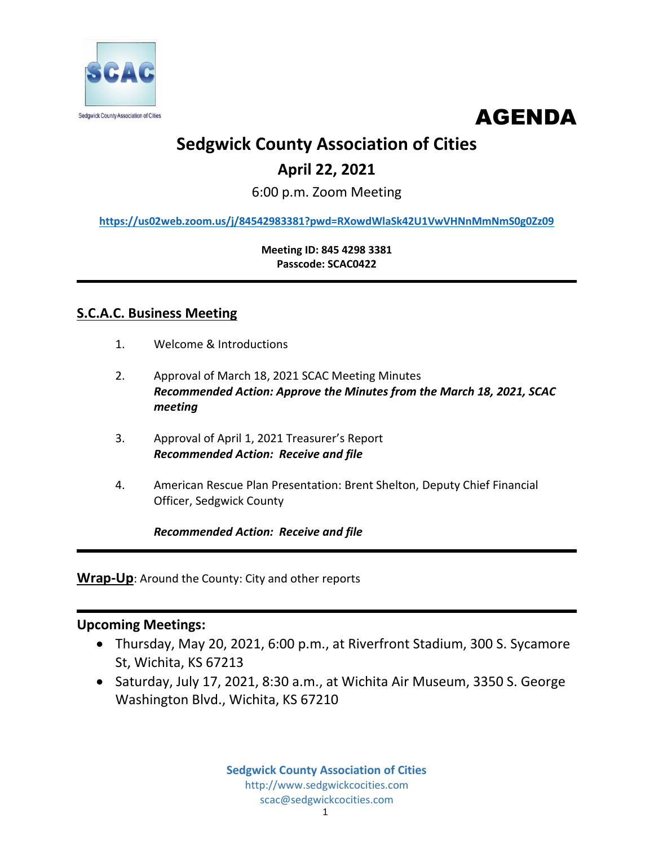



# **Sedgwick County Association of Cities**

## **April 22, 2021**

6:00 p.m. Zoom Meeting

**<https://us02web.zoom.us/j/84542983381?pwd=RXowdWlaSk42U1VwVHNnMmNmS0g0Zz09>**

**Meeting ID: 845 4298 3381 Passcode: SCAC0422**

### **S.C.A.C. Business Meeting**

- 1. Welcome & Introductions
- 2. Approval of March 18, 2021 SCAC Meeting Minutes *Recommended Action: Approve the Minutes from the March 18, 2021, SCAC meeting*
- 3. Approval of April 1, 2021 Treasurer's Report *Recommended Action: Receive and file*
- 4. American Rescue Plan Presentation: Brent Shelton, Deputy Chief Financial Officer, Sedgwick County

*Recommended Action: Receive and file*

**Wrap-Up**: Around the County: City and other reports

### **Upcoming Meetings:**

- Thursday, May 20, 2021, 6:00 p.m., at Riverfront Stadium, 300 S. Sycamore St, Wichita, KS 67213
- Saturday, July 17, 2021, 8:30 a.m., at Wichita Air Museum, 3350 S. George Washington Blvd., Wichita, KS 67210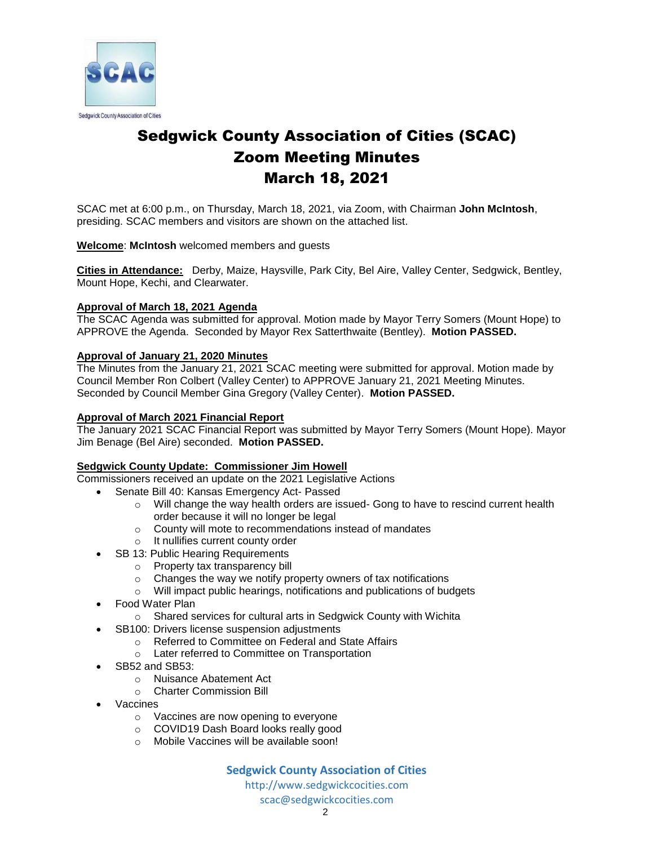

## Sedgwick County Association of Cities (SCAC) Zoom Meeting Minutes March 18, 2021

SCAC met at 6:00 p.m., on Thursday, March 18, 2021, via Zoom, with Chairman **John McIntosh**, presiding. SCAC members and visitors are shown on the attached list.

#### **Welcome**: **McIntosh** welcomed members and guests

**Cities in Attendance:** Derby, Maize, Haysville, Park City, Bel Aire, Valley Center, Sedgwick, Bentley, Mount Hope, Kechi, and Clearwater.

#### **Approval of March 18, 2021 Agenda**

The SCAC Agenda was submitted for approval. Motion made by Mayor Terry Somers (Mount Hope) to APPROVE the Agenda. Seconded by Mayor Rex Satterthwaite (Bentley). **Motion PASSED.**

#### **Approval of January 21, 2020 Minutes**

The Minutes from the January 21, 2021 SCAC meeting were submitted for approval. Motion made by Council Member Ron Colbert (Valley Center) to APPROVE January 21, 2021 Meeting Minutes. Seconded by Council Member Gina Gregory (Valley Center). **Motion PASSED.** 

#### **Approval of March 2021 Financial Report**

The January 2021 SCAC Financial Report was submitted by Mayor Terry Somers (Mount Hope). Mayor Jim Benage (Bel Aire) seconded. **Motion PASSED.**

#### **Sedgwick County Update: Commissioner Jim Howell**

Commissioners received an update on the 2021 Legislative Actions

- Senate Bill 40: Kansas Emergency Act- Passed
	- $\circ$  Will change the way health orders are issued- Gong to have to rescind current health order because it will no longer be legal
	- o County will mote to recommendations instead of mandates
	- o It nullifies current county order
- SB 13: Public Hearing Requirements
	- o Property tax transparency bill
	- $\circ$  Changes the way we notify property owners of tax notifications
	- o Will impact public hearings, notifications and publications of budgets
- Food Water Plan
	- o Shared services for cultural arts in Sedgwick County with Wichita
	- SB100: Drivers license suspension adjustments
		- o Referred to Committee on Federal and State Affairs
		- o Later referred to Committee on Transportation
- SB52 and SB53:
	- o Nuisance Abatement Act
	- o Charter Commission Bill
- Vaccines
	- o Vaccines are now opening to everyone
	- o COVID19 Dash Board looks really good
	- o Mobile Vaccines will be available soon!

#### **Sedgwick County Association of Cities**

http://www.sedgwickcocities.com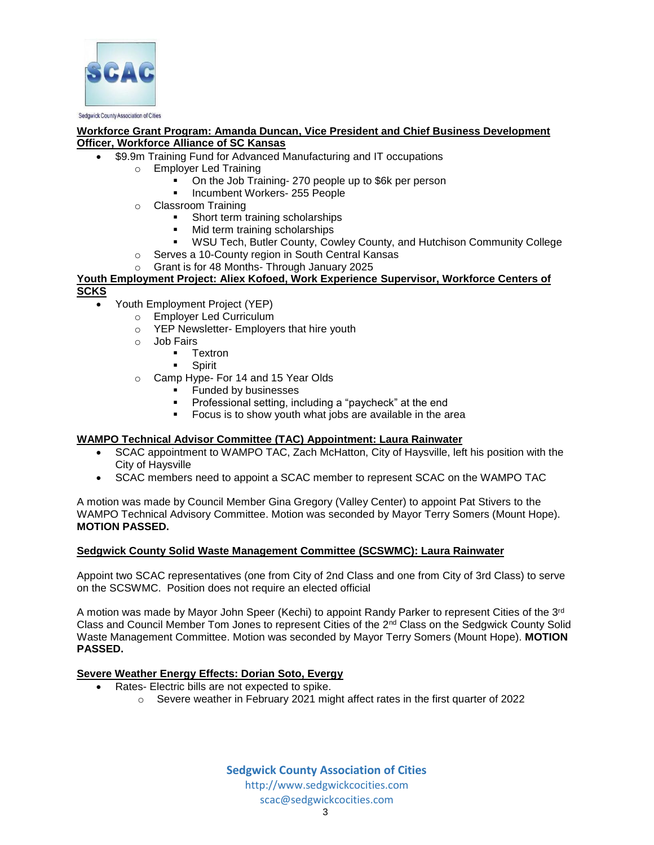

#### **Workforce Grant Program: Amanda Duncan, Vice President and Chief Business Development Officer, Workforce Alliance of SC Kansas**

- \$9.9m Training Fund for Advanced Manufacturing and IT occupations
	- o Employer Led Training
		- On the Job Training- 270 people up to \$6k per person
		- Incumbent Workers- 255 People
		- o Classroom Training
			- Short term training scholarships
			- Mid term training scholarships
			- WSU Tech, Butler County, Cowley County, and Hutchison Community College
		- o Serves a 10-County region in South Central Kansas
		- Grant is for 48 Months- Through January 2025

#### **Youth Employment Project: Aliex Kofoed, Work Experience Supervisor, Workforce Centers of SCKS**

- Youth Employment Project (YEP)
	- o Employer Led Curriculum
	- o YEP Newsletter- Employers that hire youth
	- o Job Fairs
		- **-** Textron
		- **Spirit**
	- o Camp Hype- For 14 and 15 Year Olds
		- **Funded by businesses**
		- Professional setting, including a "paycheck" at the end
		- Focus is to show youth what jobs are available in the area

#### **WAMPO Technical Advisor Committee (TAC) Appointment: Laura Rainwater**

- SCAC appointment to WAMPO TAC, Zach McHatton, City of Haysville, left his position with the City of Haysville
- SCAC members need to appoint a SCAC member to represent SCAC on the WAMPO TAC

A motion was made by Council Member Gina Gregory (Valley Center) to appoint Pat Stivers to the WAMPO Technical Advisory Committee. Motion was seconded by Mayor Terry Somers (Mount Hope). **MOTION PASSED.** 

#### **Sedgwick County Solid Waste Management Committee (SCSWMC): Laura Rainwater**

Appoint two SCAC representatives (one from City of 2nd Class and one from City of 3rd Class) to serve on the SCSWMC. Position does not require an elected official

A motion was made by Mayor John Speer (Kechi) to appoint Randy Parker to represent Cities of the 3rd Class and Council Member Tom Jones to represent Cities of the 2nd Class on the Sedgwick County Solid Waste Management Committee. Motion was seconded by Mayor Terry Somers (Mount Hope). **MOTION PASSED.**

#### **Severe Weather Energy Effects: Dorian Soto, Evergy**

- Rates- Electric bills are not expected to spike.
	- o Severe weather in February 2021 might affect rates in the first quarter of 2022

**Sedgwick County Association of Cities** http://www.sedgwickcocities.com scac@sedgwickcocities.com